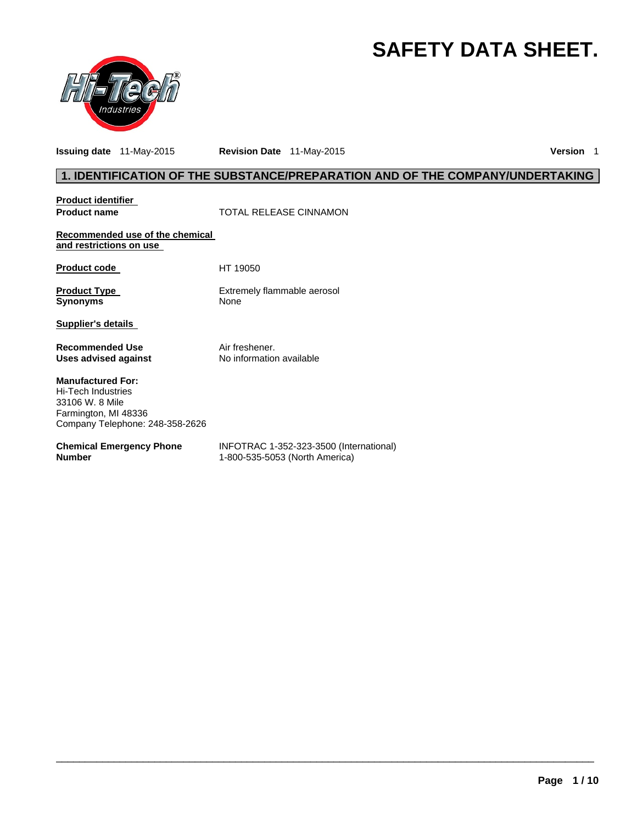# **SAFETY DATA SHEET.**



**Issuing date** 11-May-2015 **Revision Date** 11-May-2015 **Version** 1

# **1. IDENTIFICATION OF THE SUBSTANCE/PREPARATION AND OF THE COMPANY/UNDERTAKING**

**Product identifier** 

**Product name Manufacture 1 COTAL RELEASE CINNAMON** 

**Recommended use of the chemical and restrictions on use** 

Product code HT 19050

**Product Type Extrement Control Control Control Control Control Control Control Control Control Control Control Control Control Control Control Control Control Control Control Control Control Control Control Control Contro** 

**Extremely flammable aerosol** 

**Supplier's details** 

**Recommended Use The Solution Convention Air freshener.**<br> **Uses advised against** No information available **Uses advised against** 

**Manufactured For:**  Hi-Tech Industries 33106 W. 8 Mile Farmington, MI 48336 Company Telephone: 248-358-2626

#### **Chemical Emergency Phone Number**

INFOTRAC 1-352-323-3500 (International) 1-800-535-5053 (North America)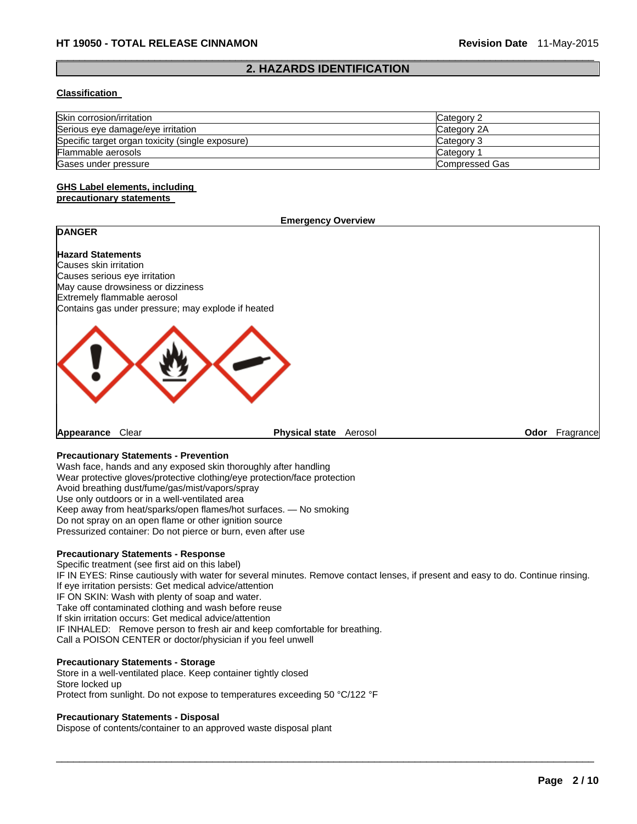#### $\Box$ **2. HAZARDS IDENTIFICATION**

#### **Classification**

| Skin corrosion/irritation                        | Category 2     |
|--------------------------------------------------|----------------|
| Serious eye damage/eye irritation                | Category 2A    |
| Specific target organ toxicity (single exposure) | Category 3     |
| Flammable aerosols                               | Category       |
| Gases under pressure                             | Compressed Gas |

#### **GHS Label elements, including precautionary statements**

#### **Emergency Overview**

# **DANGER**

**Hazard Statements**  Causes skin irritation Causes serious eye irritation May cause drowsiness or dizziness Extremely flammable aerosol Contains gas under pressure; may explode if heated



**Appearance** Clear **Physical state** Aerosol **Odor** Fragrance

## **Precautionary Statements - Prevention**

Wash face, hands and any exposed skin thoroughly after handling Wear protective gloves/protective clothing/eye protection/face protection Avoid breathing dust/fume/gas/mist/vapors/spray Use only outdoors or in a well-ventilated area Keep away from heat/sparks/open flames/hot surfaces. — No smoking Do not spray on an open flame or other ignition source Pressurized container: Do not pierce or burn, even after use

#### **Precautionary Statements - Response**

Specific treatment (see first aid on this label) IF IN EYES: Rinse cautiously with water for several minutes. Remove contact lenses, if present and easy to do. Continue rinsing. If eye irritation persists: Get medical advice/attention IF ON SKIN: Wash with plenty of soap and water. Take off contaminated clothing and wash before reuse If skin irritation occurs: Get medical advice/attention IF INHALED: Remove person to fresh air and keep comfortable for breathing. Call a POISON CENTER or doctor/physician if you feel unwell

 $\Box$ 

#### **Precautionary Statements - Storage**

Store in a well-ventilated place. Keep container tightly closed Store locked up Protect from sunlight. Do not expose to temperatures exceeding 50 °C/122 °F

#### **Precautionary Statements - Disposal**

Dispose of contents/container to an approved waste disposal plant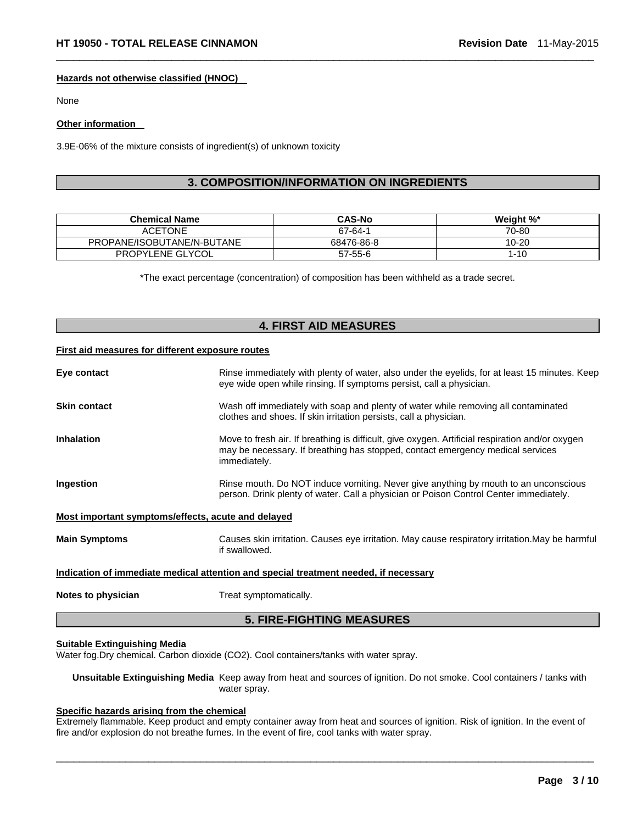#### **Hazards not otherwise classified (HNOC)**

None

#### **Other information**

3.9E-06% of the mixture consists of ingredient(s) of unknown toxicity

# **3. COMPOSITION/INFORMATION ON INGREDIENTS**

 $\Box$ 

| <b>Chemical Name</b>       | <b>CAS-No</b> | Weight %* |
|----------------------------|---------------|-----------|
| <b>ACETONE</b>             | 67-64-1       | 70-80     |
| PROPANE/ISOBUTANE/N-BUTANE | 68476-86-8    | $10 - 20$ |
| PROPYLENE GLYCOL           | $57 - 55 - 6$ | $1 - 10$  |

\*The exact percentage (concentration) of composition has been withheld as a trade secret.

# **4. FIRST AID MEASURES**

#### **First aid measures for different exposure routes**

| Eye contact                                        | Rinse immediately with plenty of water, also under the eyelids, for at least 15 minutes. Keep<br>eye wide open while rinsing. If symptoms persist, call a physician.                              |
|----------------------------------------------------|---------------------------------------------------------------------------------------------------------------------------------------------------------------------------------------------------|
| <b>Skin contact</b>                                | Wash off immediately with soap and plenty of water while removing all contaminated<br>clothes and shoes. If skin irritation persists, call a physician.                                           |
| <b>Inhalation</b>                                  | Move to fresh air. If breathing is difficult, give oxygen. Artificial respiration and/or oxygen<br>may be necessary. If breathing has stopped, contact emergency medical services<br>immediately. |
| Ingestion                                          | Rinse mouth. Do NOT induce vomiting. Never give anything by mouth to an unconscious<br>person. Drink plenty of water. Call a physician or Poison Control Center immediately.                      |
| Most important symptoms/effects, acute and delayed |                                                                                                                                                                                                   |
| <b>Main Symptoms</b>                               | Causes skin irritation. Causes eye irritation. May cause respiratory irritation. May be harmful<br>if swallowed.                                                                                  |
|                                                    | Indication of immediate medical attention and special treatment needed, if necessary                                                                                                              |
| Notes to physician                                 | Treat symptomatically.                                                                                                                                                                            |

#### **5. FIRE-FIGHTING MEASURES**

#### **Suitable Extinguishing Media**

Water fog.Dry chemical. Carbon dioxide (CO2). Cool containers/tanks with water spray.

**Unsuitable Extinguishing Media** Keep away from heat and sources of ignition. Do not smoke. Cool containers / tanks with water spray.

### **Specific hazards arising from the chemical**

Extremely flammable. Keep product and empty container away from heat and sources of ignition. Risk of ignition. In the event of fire and/or explosion do not breathe fumes. In the event of fire, cool tanks with water spray.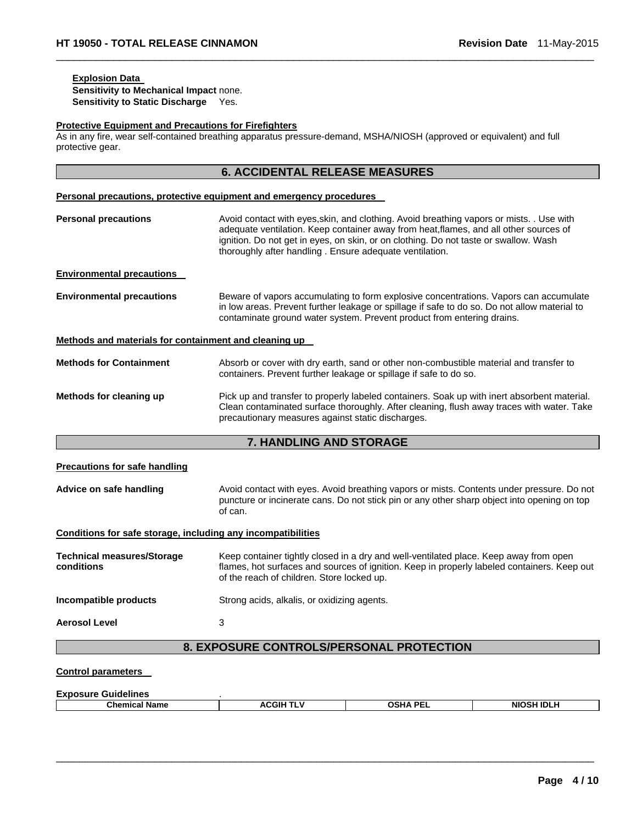# **Explosion Data**

**Sensitivity to Mechanical Impact** none. **Sensitivity to Static Discharge** Yes.

#### **Protective Equipment and Precautions for Firefighters**

As in any fire, wear self-contained breathing apparatus pressure-demand, MSHA/NIOSH (approved or equivalent) and full protective gear.

 $\Box$ 

|                                                              | <b>6. ACCIDENTAL RELEASE MEASURES</b>                                                                                                                                                                                                                                                                                                |
|--------------------------------------------------------------|--------------------------------------------------------------------------------------------------------------------------------------------------------------------------------------------------------------------------------------------------------------------------------------------------------------------------------------|
|                                                              | Personal precautions, protective equipment and emergency procedures                                                                                                                                                                                                                                                                  |
| <b>Personal precautions</b>                                  | Avoid contact with eyes, skin, and clothing. Avoid breathing vapors or mists. . Use with<br>adequate ventilation. Keep container away from heat, flames, and all other sources of<br>ignition. Do not get in eyes, on skin, or on clothing. Do not taste or swallow. Wash<br>thoroughly after handling. Ensure adequate ventilation. |
| <b>Environmental precautions</b>                             |                                                                                                                                                                                                                                                                                                                                      |
| <b>Environmental precautions</b>                             | Beware of vapors accumulating to form explosive concentrations. Vapors can accumulate<br>in low areas. Prevent further leakage or spillage if safe to do so. Do not allow material to<br>contaminate ground water system. Prevent product from entering drains.                                                                      |
| Methods and materials for containment and cleaning up        |                                                                                                                                                                                                                                                                                                                                      |
| <b>Methods for Containment</b>                               | Absorb or cover with dry earth, sand or other non-combustible material and transfer to<br>containers. Prevent further leakage or spillage if safe to do so.                                                                                                                                                                          |
| Methods for cleaning up                                      | Pick up and transfer to properly labeled containers. Soak up with inert absorbent material.<br>Clean contaminated surface thoroughly. After cleaning, flush away traces with water. Take<br>precautionary measures against static discharges.                                                                                        |
|                                                              | 7. HANDLING AND STORAGE                                                                                                                                                                                                                                                                                                              |
| <b>Precautions for safe handling</b>                         |                                                                                                                                                                                                                                                                                                                                      |
| Advice on safe handling                                      | Avoid contact with eyes. Avoid breathing vapors or mists. Contents under pressure. Do not<br>puncture or incinerate cans. Do not stick pin or any other sharp object into opening on top<br>of can.                                                                                                                                  |
| Conditions for safe storage, including any incompatibilities |                                                                                                                                                                                                                                                                                                                                      |
| <b>Technical measures/Storage</b><br>conditions              | Keep container tightly closed in a dry and well-ventilated place. Keep away from open<br>flames, hot surfaces and sources of ignition. Keep in properly labeled containers. Keep out<br>of the reach of children. Store locked up.                                                                                                   |
| Incompatible products                                        | Strong acids, alkalis, or oxidizing agents.                                                                                                                                                                                                                                                                                          |
| <b>Aerosol Level</b>                                         | 3                                                                                                                                                                                                                                                                                                                                    |
|                                                              | 8. EXPOSURE CONTROLS/PERSONAL PROTECTION                                                                                                                                                                                                                                                                                             |
| <b>Control parameters</b>                                    |                                                                                                                                                                                                                                                                                                                                      |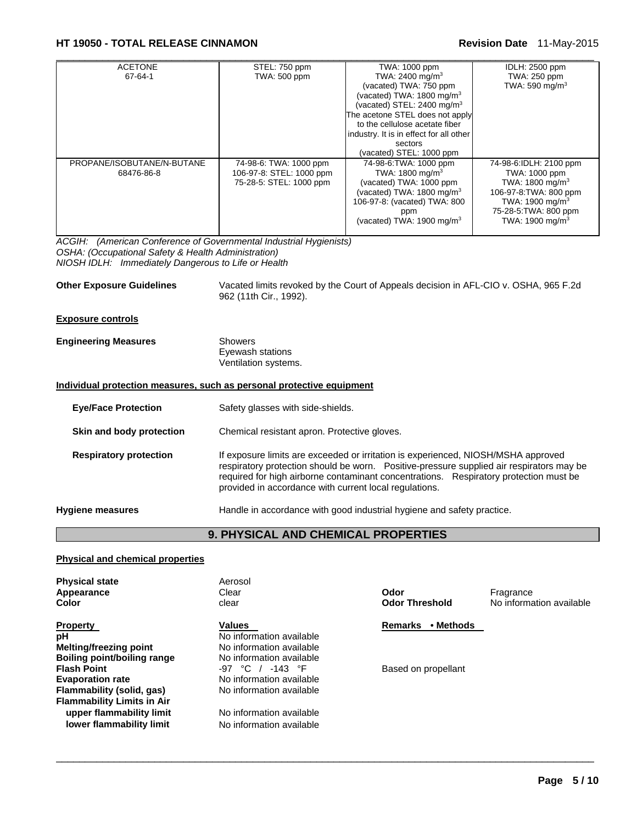# **HT 19050 - TOTAL RELEASE CINNAMON Revision Date** 11-May-2015

| <b>ACETONE</b>             | STEL: 750 ppm            | TWA: 1000 ppm                           | IDLH: 2500 ppm              |
|----------------------------|--------------------------|-----------------------------------------|-----------------------------|
| 67-64-1                    | <b>TWA: 500 ppm</b>      | TWA: 2400 mg/m <sup>3</sup>             | TWA: 250 ppm                |
|                            |                          | (vacated) TWA: 750 ppm                  | TWA: 590 mg/m <sup>3</sup>  |
|                            |                          | (vacated) TWA: $1800$ mg/m <sup>3</sup> |                             |
|                            |                          | (vacated) STEL: 2400 mg/m <sup>3</sup>  |                             |
|                            |                          | The acetone STEL does not apply         |                             |
|                            |                          | to the cellulose acetate fiber          |                             |
|                            |                          | industry. It is in effect for all other |                             |
|                            |                          | sectors                                 |                             |
|                            |                          | (vacated) STEL: 1000 ppm                |                             |
| PROPANE/ISOBUTANE/N-BUTANE | 74-98-6: TWA: 1000 ppm   | 74-98-6: TWA: 1000 ppm                  | 74-98-6:IDLH: 2100 ppm      |
| 68476-86-8                 | 106-97-8: STEL: 1000 ppm | TWA: 1800 mg/m <sup>3</sup>             | TWA: 1000 ppm               |
|                            | 75-28-5: STEL: 1000 ppm  | (vacated) TWA: 1000 ppm                 | TWA: $1800 \text{ mg/m}^3$  |
|                            |                          | (vacated) TWA: 1800 mg/m $3$            | 106-97-8: TWA: 800 ppm      |
|                            |                          | 106-97-8: (vacated) TWA: 800            | TWA: 1900 mg/m <sup>3</sup> |
|                            |                          | ppm                                     | 75-28-5: TWA: 800 ppm       |
|                            |                          | (vacated) TWA: $1900 \text{ mg/m}^3$    | TWA: 1900 mg/m $3$          |
|                            |                          |                                         |                             |

*ACGIH: (American Conference of Governmental Industrial Hygienists) OSHA: (Occupational Safety & Health Administration) NIOSH IDLH: Immediately Dangerous to Life or Health* 

**Other Exposure Guidelines** Vacated limits revoked by the Court of Appeals decision in AFL-CIO v. OSHA, 965 F.2d 962 (11th Cir., 1992).

#### **Exposure controls**

| <b>Engineering Measures</b> | Showers              |  |
|-----------------------------|----------------------|--|
|                             | Eyewash stations     |  |
|                             | Ventilation systems. |  |

#### **Individual protection measures, such as personal protective equipment**

| Safety glasses with side-shields.                                                                                                                                                                                                                                                                                                 |
|-----------------------------------------------------------------------------------------------------------------------------------------------------------------------------------------------------------------------------------------------------------------------------------------------------------------------------------|
| Chemical resistant apron. Protective gloves.                                                                                                                                                                                                                                                                                      |
| If exposure limits are exceeded or irritation is experienced, NIOSH/MSHA approved<br>respiratory protection should be worn.  Positive-pressure supplied air respirators may be<br>required for high airborne contaminant concentrations. Respiratory protection must be<br>provided in accordance with current local regulations. |
| Handle in accordance with good industrial hygiene and safety practice.                                                                                                                                                                                                                                                            |
|                                                                                                                                                                                                                                                                                                                                   |

# **9. PHYSICAL AND CHEMICAL PROPERTIES**

 $\Box$ 

#### **Physical and chemical properties**

| <b>Physical state</b><br>Appearance<br>Color | Aerosol<br>Clear<br>clear | Odor<br><b>Odor Threshold</b> | Fragrance<br>No information available |
|----------------------------------------------|---------------------------|-------------------------------|---------------------------------------|
| <b>Property</b>                              | <b>Values</b>             | • Methods<br><b>Remarks</b>   |                                       |
| pH                                           | No information available  |                               |                                       |
| <b>Melting/freezing point</b>                | No information available  |                               |                                       |
| Boiling point/boiling range                  | No information available  |                               |                                       |
| <b>Flash Point</b>                           | $-97$ °C / $-143$ °F      | Based on propellant           |                                       |
| <b>Evaporation rate</b>                      | No information available  |                               |                                       |
| Flammability (solid, gas)                    | No information available  |                               |                                       |
| <b>Flammability Limits in Air</b>            |                           |                               |                                       |
| upper flammability limit                     | No information available  |                               |                                       |
| lower flammability limit                     | No information available  |                               |                                       |
|                                              |                           |                               |                                       |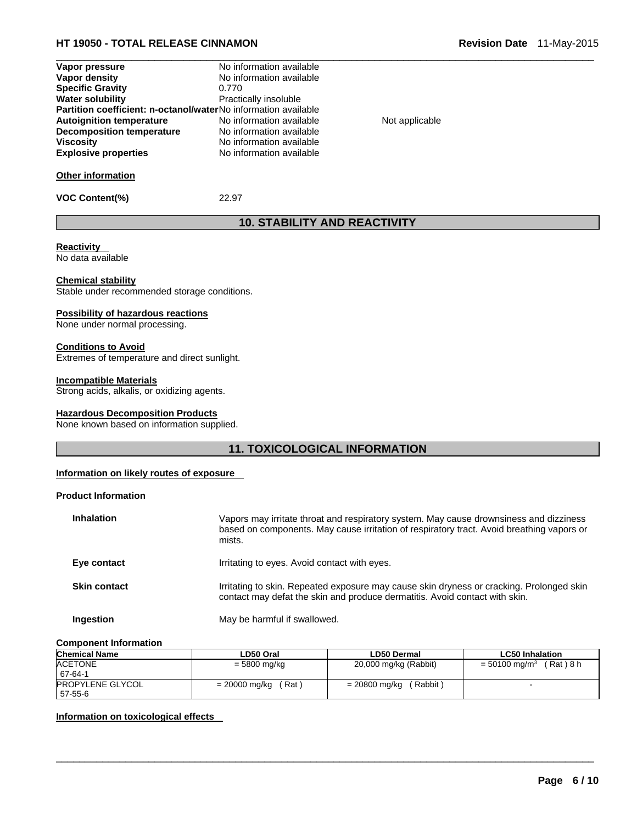# **HT 19050 - TOTAL RELEASE CINNAMON Revision Date** 11-May-2015

| Vapor pressure                                                        | No information available |                |  |
|-----------------------------------------------------------------------|--------------------------|----------------|--|
| Vapor density                                                         | No information available |                |  |
| <b>Specific Gravity</b>                                               | 0.770                    |                |  |
| <b>Water solubility</b>                                               | Practically insoluble    |                |  |
| <b>Partition coefficient: n-octanol/waterNo information available</b> |                          |                |  |
| <b>Autoignition temperature</b>                                       | No information available | Not applicable |  |
| Decomposition temperature                                             | No information available |                |  |
| <b>Viscosity</b>                                                      | No information available |                |  |
| <b>Explosive properties</b>                                           | No information available |                |  |
| <b>Other information</b>                                              |                          |                |  |
| <b>VOC Content(%)</b>                                                 | 22.97                    |                |  |

# **10. STABILITY AND REACTIVITY**

# **Reactivity**

No data available

#### **Chemical stability**

Stable under recommended storage conditions.

#### **Possibility of hazardous reactions**

None under normal processing.

#### **Conditions to Avoid**

Extremes of temperature and direct sunlight.

#### **Incompatible Materials**

Strong acids, alkalis, or oxidizing agents.

#### **Hazardous Decomposition Products**

None known based on information supplied.

# **11. TOXICOLOGICAL INFORMATION**

#### **Information on likely routes of exposure**

#### **Product Information**

| <b>Inhalation</b>   | Vapors may irritate throat and respiratory system. May cause drownsiness and dizziness<br>based on components. May cause irritation of respiratory tract. Avoid breathing vapors or<br>mists. |
|---------------------|-----------------------------------------------------------------------------------------------------------------------------------------------------------------------------------------------|
| Eye contact         | Irritating to eyes. Avoid contact with eyes.                                                                                                                                                  |
| <b>Skin contact</b> | Irritating to skin. Repeated exposure may cause skin dryness or cracking. Prolonged skin<br>contact may defat the skin and produce dermatitis. Avoid contact with skin.                       |
| Ingestion           | May be harmful if swallowed.                                                                                                                                                                  |

#### **Component Information**

| <b>Chemical Name</b>               | LD50 Oral              | LD50 Dermal               | <b>LC50 Inhalation</b>                    |
|------------------------------------|------------------------|---------------------------|-------------------------------------------|
| <b>ACETONE</b><br>67-64-1          | = 5800 mg/kg           | 20,000 mg/kg (Rabbit)     | (Rat ) 8 h<br>$= 50100$ mg/m <sup>3</sup> |
| <b>PROPYLENE GLYCOL</b><br>57-55-6 | (Rat)<br>= 20000 mg/kg | (Rabbit)<br>= 20800 mg/kg |                                           |

 $\Box$ 

#### **Information on toxicological effects**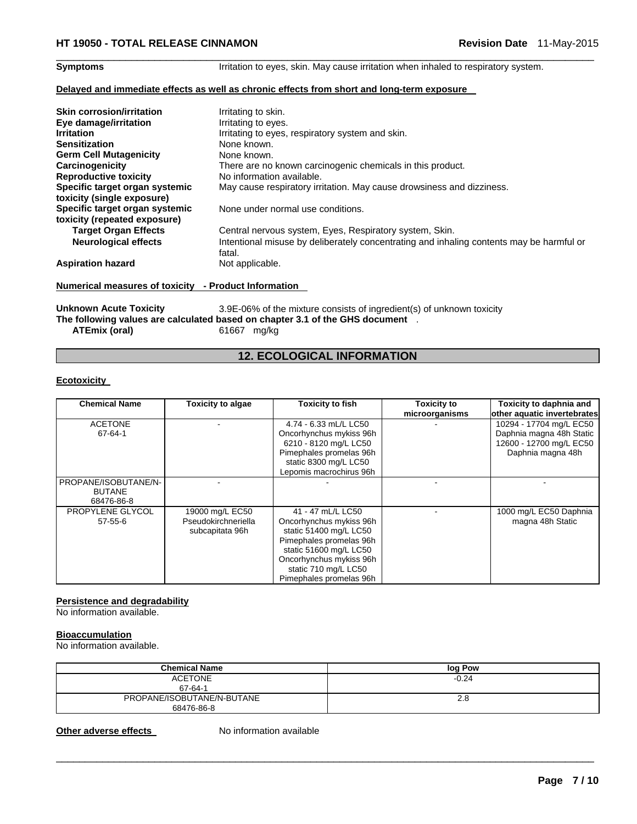**Symptoms** Irritation to eyes, skin. May cause irritation when inhaled to respiratory system.

#### **Delayed and immediate effects as well as chronic effects from short and long-term exposure**

| <b>Skin corrosion/irritation</b> | Irritating to skin.                                                                                |
|----------------------------------|----------------------------------------------------------------------------------------------------|
| Eye damage/irritation            | Irritating to eyes.                                                                                |
| <b>Irritation</b>                | Irritating to eyes, respiratory system and skin.                                                   |
| <b>Sensitization</b>             | None known.                                                                                        |
| <b>Germ Cell Mutagenicity</b>    | None known.                                                                                        |
| Carcinogenicity                  | There are no known carcinogenic chemicals in this product.                                         |
| <b>Reproductive toxicity</b>     | No information available.                                                                          |
| Specific target organ systemic   | May cause respiratory irritation. May cause drowsiness and dizziness.                              |
| toxicity (single exposure)       |                                                                                                    |
| Specific target organ systemic   | None under normal use conditions.                                                                  |
| toxicity (repeated exposure)     |                                                                                                    |
| <b>Target Organ Effects</b>      | Central nervous system, Eyes, Respiratory system, Skin.                                            |
| <b>Neurological effects</b>      | Intentional misuse by deliberately concentrating and inhaling contents may be harmful or<br>fatal. |
| <b>Aspiration hazard</b>         | Not applicable.                                                                                    |

 $\Box$ 

# **Numerical measures of toxicity - Product Information**

Unknown Acute Toxicity 3.9E-06% of the mixture consists of ingredient(s) of unknown toxicity **The following values are calculated based on chapter 3.1 of the GHS document** . **ATEmix (oral)** 61667 mg/kg

# **12. ECOLOGICAL INFORMATION**

#### **Ecotoxicity**

| <b>Chemical Name</b> | <b>Toxicity to algae</b> | <b>Toxicity to fish</b> | <b>Toxicity to</b> | Toxicity to daphnia and     |
|----------------------|--------------------------|-------------------------|--------------------|-----------------------------|
|                      |                          |                         | microorganisms     | other aquatic invertebrates |
| <b>ACETONE</b>       |                          | 4.74 - 6.33 mL/L LC50   |                    | 10294 - 17704 mg/L EC50     |
| 67-64-1              |                          | Oncorhynchus mykiss 96h |                    | Daphnia magna 48h Static    |
|                      |                          | 6210 - 8120 mg/L LC50   |                    | 12600 - 12700 mg/L EC50     |
|                      |                          | Pimephales promelas 96h |                    | Daphnia magna 48h           |
|                      |                          | static 8300 mg/L LC50   |                    |                             |
|                      |                          | Lepomis macrochirus 96h |                    |                             |
| PROPANE/ISOBUTANE/N- |                          |                         |                    |                             |
| <b>BUTANE</b>        |                          |                         |                    |                             |
| 68476-86-8           |                          |                         |                    |                             |
| PROPYLENE GLYCOL     | 19000 mg/L EC50          | 41 - 47 mL/L LC50       |                    | 1000 mg/L EC50 Daphnia      |
| $57 - 55 - 6$        | Pseudokirchneriella      | Oncorhynchus mykiss 96h |                    | magna 48h Static            |
|                      | subcapitata 96h          | static 51400 mg/L LC50  |                    |                             |
|                      |                          | Pimephales promelas 96h |                    |                             |
|                      |                          | static 51600 mg/L LC50  |                    |                             |
|                      |                          | Oncorhynchus mykiss 96h |                    |                             |
|                      |                          | static 710 mg/L LC50    |                    |                             |
|                      |                          | Pimephales promelas 96h |                    |                             |

#### **Persistence and degradability**

No information available.

### **Bioaccumulation**

No information available.

| <b>Chemical Name</b>                     | log Pow |
|------------------------------------------|---------|
| <b>ACETONE</b><br>67-64-1                | $-0.24$ |
| PROPANE/ISOBUTANE/N-BUTANE<br>68476-86-8 | 2.8     |

 $\Box$ 

**Other adverse effects** No information available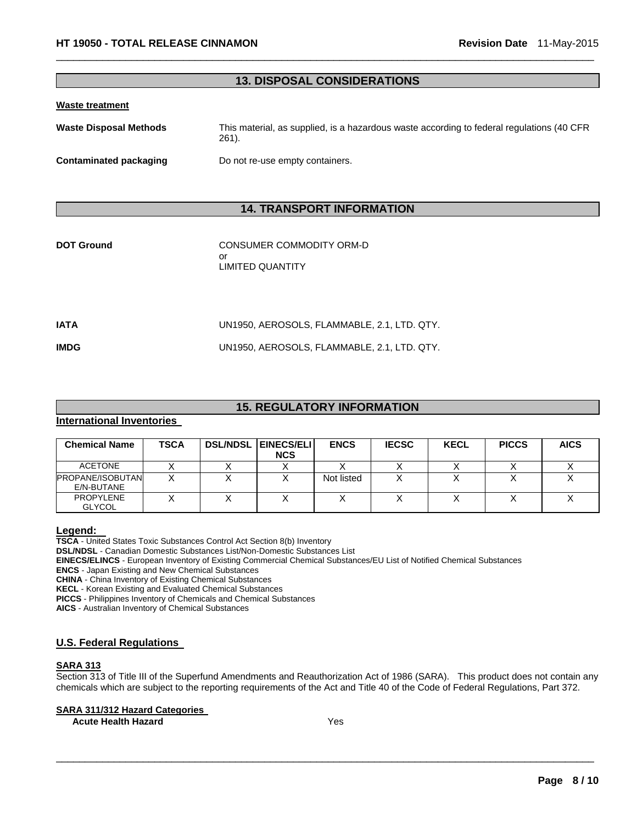# **13. DISPOSAL CONSIDERATIONS**

 $\Box$ 

#### **Waste treatment**

| <b>Waste Disposal Methods</b> | This material, as supplied, is a hazardous waste according to federal regulations (40 CFR)<br>$261$ . |  |  |  |
|-------------------------------|-------------------------------------------------------------------------------------------------------|--|--|--|
| Contaminated packaging        | Do not re-use empty containers.                                                                       |  |  |  |

# **14. TRANSPORT INFORMATION**

| <b>DOT Ground</b> | CONSUMER COMMODITY ORM-D<br>or<br>LIMITED QUANTITY |
|-------------------|----------------------------------------------------|
| IATA              | UN1950, AEROSOLS, FLAMMABLE, 2.1, LTD. QTY.        |
| IMDG              | UN1950, AEROSOLS, FLAMMABLE, 2.1, LTD. QTY.        |
|                   |                                                    |

# **15. REGULATORY INFORMATION**

#### **International Inventories**

| <b>Chemical Name</b>                  | TSCA | <b>DSL/NDSL EINECS/ELI</b><br><b>NCS</b> | <b>ENCS</b> | <b>IECSC</b> | <b>KECL</b> | <b>PICCS</b> | <b>AICS</b> |
|---------------------------------------|------|------------------------------------------|-------------|--------------|-------------|--------------|-------------|
| <b>ACETONE</b>                        |      |                                          |             |              |             |              |             |
| <b>PROPANE/ISOBUTAN</b><br>E/N-BUTANE |      |                                          | Not listed  |              |             |              |             |
| <b>PROPYLENE</b><br><b>GLYCOL</b>     |      |                                          |             |              |             |              |             |

**Legend: TSCA** - United States Toxic Substances Control Act Section 8(b) Inventory

**DSL/NDSL** - Canadian Domestic Substances List/Non-Domestic Substances List

**EINECS/ELINCS** - European Inventory of Existing Commercial Chemical Substances/EU List of Notified Chemical Substances

**ENCS** - Japan Existing and New Chemical Substances

**CHINA** - China Inventory of Existing Chemical Substances

**KECL** - Korean Existing and Evaluated Chemical Substances

**PICCS** - Philippines Inventory of Chemicals and Chemical Substances

**AICS** - Australian Inventory of Chemical Substances

#### **U.S. Federal Regulations**

# **SARA 313**

Section 313 of Title III of the Superfund Amendments and Reauthorization Act of 1986 (SARA). This product does not contain any chemicals which are subject to the reporting requirements of the Act and Title 40 of the Code of Federal Regulations, Part 372.

 $\Box$ 

#### **SARA 311/312 Hazard Categories**

**Acute Health Hazard**  Yes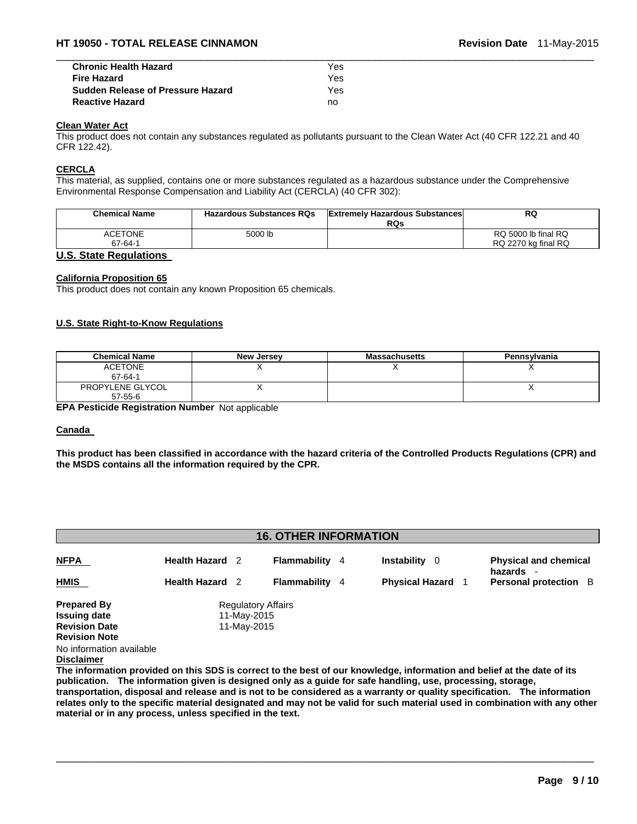| <b>Chronic Health Hazard</b>             | Yes |  |
|------------------------------------------|-----|--|
| <b>Fire Hazard</b>                       | Yes |  |
| <b>Sudden Release of Pressure Hazard</b> | Yes |  |
| <b>Reactive Hazard</b>                   | no  |  |

#### **Clean Water Act**

This product does not contain any substances regulated as pollutants pursuant to the Clean Water Act (40 CFR 122.21 and 40 CFR 122.42).

#### **CERCLA**

This material, as supplied, contains one or more substances regulated as a hazardous substance under the Comprehensive Environmental Response Compensation and Liability Act (CERCLA) (40 CFR 302):

| <b>Chemical Name</b> | <b>Hazardous Substances RQs</b> | <b>Extremely Hazardous Substances</b><br><b>RQs</b> | <b>RQ</b>           |
|----------------------|---------------------------------|-----------------------------------------------------|---------------------|
| <b>ACETONE</b>       | 5000 lb                         |                                                     | RQ 5000 lb final RQ |
| 67-64-1              |                                 |                                                     | RQ 2270 kg final RQ |

#### **U.S. State Regulations**

#### **California Proposition 65**

This product does not contain any known Proposition 65 chemicals.

#### **U.S. State Right-to-Know Regulations**

| <b>Chemical Name</b>              | <b>New Jersey</b> | <b>Massachusetts</b> | Pennsylvania |
|-----------------------------------|-------------------|----------------------|--------------|
| <b>ACETONE</b><br>67-64-1         |                   |                      |              |
| PROPYLENE GLYCOL<br>$57 - 55 - 6$ |                   |                      |              |

**EPA Pesticide Registration Number** Not applicable

#### **Canada**

**This product has been classified in accordance with the hazard criteria of the Controlled Products Regulations (CPR) and the MSDS contains all the information required by the CPR.** 

## **16. OTHER INFORMATION**

| <b>NFPA</b>              | <b>Health Hazard</b> 2 | Flammability              | 4 | <b>Instability</b><br>0 | <b>Physical and chemical</b><br>hazards |
|--------------------------|------------------------|---------------------------|---|-------------------------|-----------------------------------------|
| <b>HMIS</b>              | <b>Health Hazard</b> 2 | Flammability              | 4 | <b>Physical Hazard</b>  | <b>Personal protection</b> B            |
| <b>Prepared By</b>       |                        | <b>Regulatory Affairs</b> |   |                         |                                         |
| <b>Issuing date</b>      | 11-May-2015            |                           |   |                         |                                         |
| <b>Revision Date</b>     | 11-May-2015            |                           |   |                         |                                         |
| <b>Revision Note</b>     |                        |                           |   |                         |                                         |
| No information available |                        |                           |   |                         |                                         |

**Disclaimer**

**The information provided on this SDS is correct to the best of our knowledge, information and belief at the date of its publication. The information given is designed only as a guide for safe handling, use, processing, storage, transportation, disposal and release and is not to be considered as a warranty or quality specification. The information relates only to the specific material designated and may not be valid for such material used in combination with any other material or in any process, unless specified in the text.**